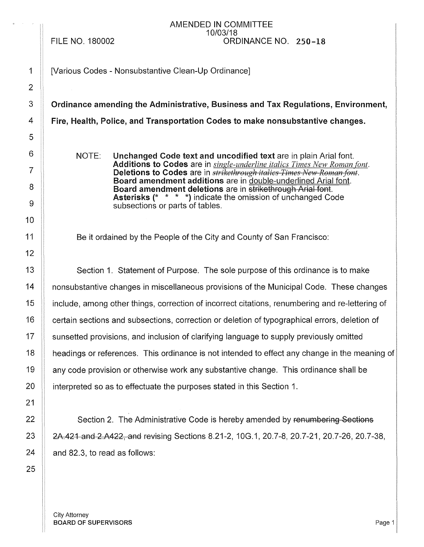#### FILE NO. 180002

#### AMENDED IN COMMITTEE 10/03/18 ORDINANCE NO. 250-18

1 | Various Codes - Nonsubstantive Clean-Up Ordinance]

3 Crdinance amending the Administrative, Business and Tax Regulations, Environment,

4 Fire, Health, Police, and Transportation Codes to make nonsubstantive changes.

NOTE: Unchanged Code text and uncodified text are in plain Arial font. Additions to Codes are in *single-underline italics Times New Roman font.*  Deletions to Codes are in *strikethrough italics Times New Roman font.* Board amendment additions are in double-underlined Arial font. Board amendment deletions are in strikethrough Arial font. Asterisks(\* \* \* \*) indicate the omission of unchanged Code subsections or parts of tables.

Be it ordained by the People of the City and County of San Francisco:

13 | Section 1. Statement of Purpose. The sole purpose of this ordinance is to make 14 **1** nonsubstantive changes in miscellaneous provisions of the Municipal Code. These changes 15 include, among other things, correction of incorrect citations, renumbering and re-lettering of 16 | certain sections and subsections, correction or deletion of typographical errors, deletion of 17 | sunsetted provisions, and inclusion of clarifying language to supply previously omitted 18 | headings or references. This ordinance is not intended to effect any change in the meaning of 19 **any code provision or otherwise work any substantive change.** This ordinance shall be 20  $\parallel$  interpreted so as to effectuate the purposes stated in this Section 1.

 $22$   $\parallel$  Section 2. The Administrative Code is hereby amended by renumbering Sections 23 **23 22** 24.421 and 2.A422, and revising Sections 8.21-2, 10G.1, 20.7-8, 20.7-21, 20.7-26, 20.7-38,  $24$  | and 82.3, to read as follows: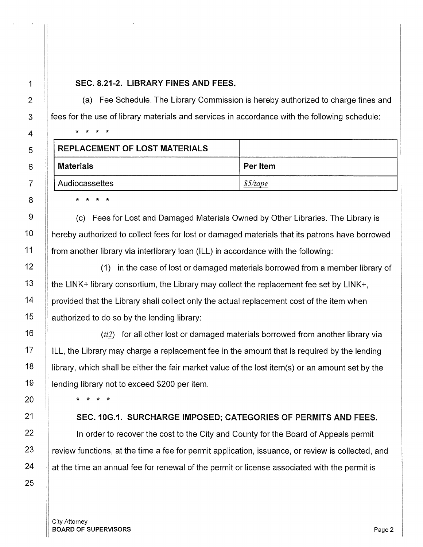## 1 SEC. 8.21-2. LIBRARY FINES AND FEES.

(a) Fee Schedule. The Library Commission is hereby authorized to charge fines and fees for the use of library materials and services in accordance with the following schedule:

| <b>REPLACEMENT OF LOST MATERIALS</b> |            |
|--------------------------------------|------------|
| <b>Materials</b>                     | Per Item   |
| Audiocassettes                       | $$5$ /tape |

8 **|** \* \* \* \*

\* \* \* \*

 $9$   $\parallel$  (c) Fees for Lost and Damaged Materials Owned by Other Libraries. The Library is 10 | hereby authorized to collect fees for lost or damaged materials that its patrons have borrowed 11 **from another library via interlibrary loan (ILL) in accordance with the following:** 

12 |  $\vert$  (1) in the case of lost or damaged materials borrowed from a member library of **the LINK+ library consortium, the Library may collect the replacement fee set by LINK+,**  | provided that the Library shall collect only the actual replacement cost of the item when | authorized to do so by the lending library:

16  $\parallel$  (ii) for all other lost or damaged materials borrowed from another library via 17  $\parallel$  ILL, the Library may charge a replacement fee in the amount that is required by the lending 18 library, which shall be either the fair market value of the lost item(s) or an amount set by the 19 | lending library not to exceed \$200 per item.

20 \* \* \* \*

## 21 SEC. 10G.1. SURCHARGE IMPOSED; CATEGORIES OF PERMITS AND FEES.

22 | In order to recover the cost to the City and County for the Board of Appeals permit  $23$  || review functions, at the time a fee for permit application, issuance, or review is collected, and  $24$  | at the time an annual fee for renewal of the permit or license associated with the permit is

2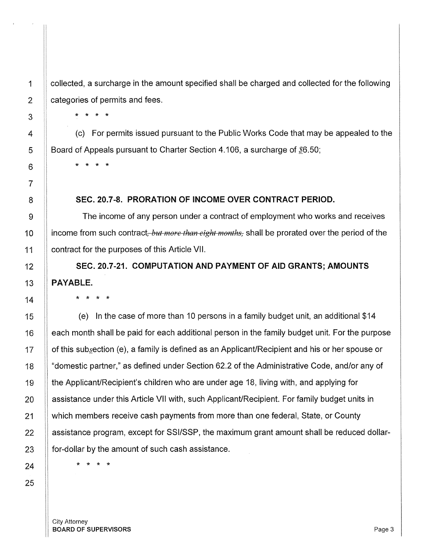collected, a surcharge in the amount specified shall be charged and collected for the following categories of permits and fees.

(c) For permits issued pursuant to the Public Works Code that may be appealed to the Board of Appeals pursuant to Charter Section 4.106, a surcharge of  $$6.50$ ;

\* \* \* \*

\* \* \* \*

#### 8 **SEC. 20.7-8. PRORATION OF INCOME OVER CONTRACT PERIOD.**

9  $\parallel$  The income of any person under a contract of employment who works and receives 10 **income from such contract**, *but more than eight months*, shall be prorated over the period of the 11 | contract for the purposes of this Article VII.

12 **SEC. 20.7-21. COMPUTATION AND PAYMENT OF AID GRANTS; AMOUNTS**  13 **PAYABLE.** 

\* \* \* \*

(e) In the case of more than 10 persons in a family budget unit, an additional \$14 each month shall be paid for each additional person in the family budget unit. For the purpose of this subgection (e), a family is defined as an Applicant/Recipient and his or her spouse or "domestic partner," as defined under Section 62.2 of the Administrative Code, and/or any of the Applicant/Recipient's children who are under age 18, living with, and applying for assistance under this Article VII with, such Applicant/Recipient. For family budget units in which members receive cash payments from more than one federal, State, or County assistance program, except for SSl/SSP, the maximum grant amount shall be reduced dollarfor-dollar by the amount of such cash assistance.

\* \* \* \*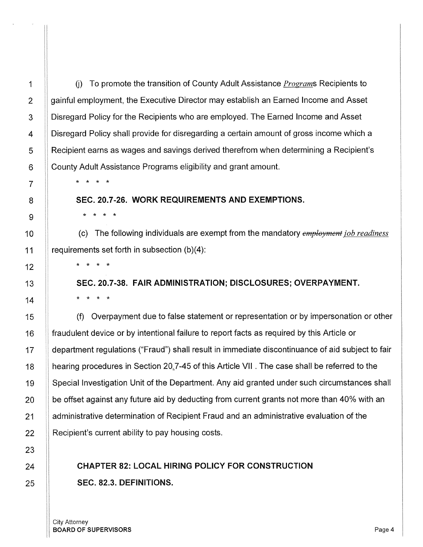U) To promote the transition of County Adult Assistance *Programs* Recipients to gainful employment, the Executive Director may establish an Earned Income and Asset Disregard Policy for the Recipients who are employed. The Earned Income and Asset Disregard Policy shall provide for disregarding a certain amount of gross income which a Recipient earns as wages and savings derived therefrom when determining a Recipient's County Adult Assistance Programs eligibility and grant amount.

\* \* \* \*

\* \* \* \*

#### SEC. 20.7-26. WORK REQUIREMENTS AND EXEMPTIONS.

(c) The following individuals are exempt from the mandatory *ernployment job readiness*  requirements set forth in subsection (b)(4):

\* \* \* \*

SEC. 20.7-38. FAIR ADMINISTRATION; DISCLOSURES; OVERPAYMENT. \* \* \* \*

(f) Overpayment due to false statement or representation or by impersonation or other fraudulent device or by intentional failure to report facts as required by this Article or department regulations ("Fraud") shall result in immediate discontinuance of aid subject to fair hearing procedures in Section 20.7-45 of this Article VII. The case shall be referred to the Special Investigation Unit of the Department. Any aid granted under such circumstances shall be offset against any future aid by deducting from current grants not more than 40% with an administrative determination of Recipient Fraud and an administrative evaluation of the Recipient's current ability to pay housing costs.

## CHAPTER 82: LOCAL HIRING POLICY FOR CONSTRUCTION SEC. 82.3. DEFINITIONS.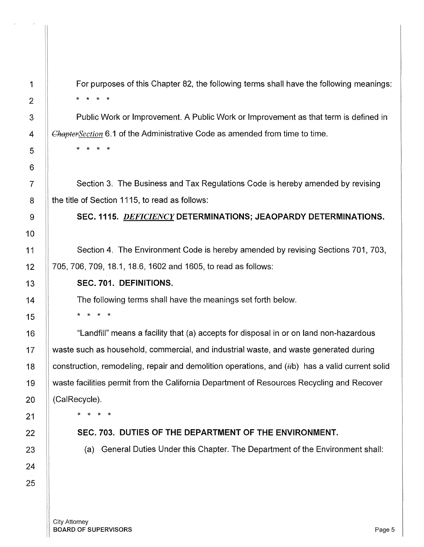For purposes of this Chapter 82, the following terms shall have the following meanings: \* \* \* \*

Public Work or Improvement. A Public Work or Improvement as that term is defined in *ChaptcrSection* 6.1 of the Administrative Code as amended from time to time.

7 | Section 3. The Business and Tax Regulations Code is hereby amended by revising 8 | the title of Section 1115, to read as follows:

9 SEC. 1115. *DEFICIENCY* DETERMINATIONS; JEAOPARDY DETERMINATIONS.

Section 4. The Environment Code is hereby amended by revising Sections 701, 703, 705, 706, 709, 18.1, 18.6, 1602 and 1605, to read as follows:

## SEC. 701. DEFINITIONS.

The following terms shall have the meanings set forth below.

\* \* \* \*

\* \* \* \*

"Landfill" means a facility that (a) accepts for disposal in or on land non-hazardous waste such as household, commercial, and industrial waste, and waste generated during construction, remodeling, repair and demolition operations, and  $(iib)$  has a valid current solid waste facilities permit from the California Department of Resources Recycling and Recover (CalRecycle).

\* \* \* \*

## SEC. 703. DUTIES OF THE DEPARTMENT OF THE ENVIRONMENT.

(a) General Duties Under this Chapter. The Department of the Environment shall: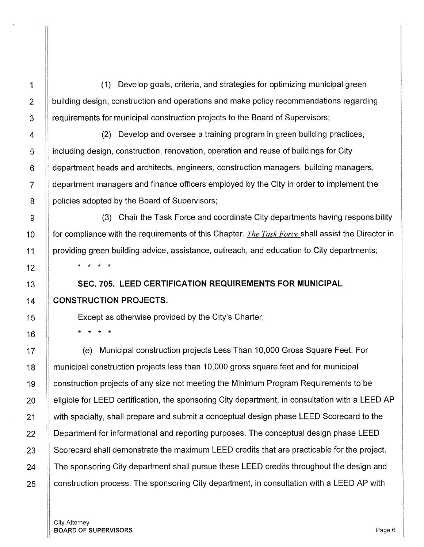(1) Develop goals, criteria, and strategies for optimizing municipal green building design, construction and operations and make policy recommendations regarding requirements for municipal construction projects to the Board of Supervisors;

(2) Develop and oversee a training program in green building practices, including design, construction, renovation, operation and reuse of buildings for City department heads and architects, engineers, construction managers, building managers, department managers and finance officers employed by the City in order to implement the policies adopted by the Board of Supervisors;

(3) Chair the Task Force and coordinate City departments having responsibility for compliance with the requirements of this Chapter. *The Task Force* shall assist the Director in providing green building advice, assistance, outreach, and education to City departments; \* \* \* \*

**SEC. 705. LEED CERTIFICATION REQUIREMENTS FOR MUNICIPAL CONSTRUCTION PROJECTS.** 

Except as otherwise provided by the City's Charter,

\* \* \* \*

17 (e) Municipal construction projects Less Than 10,000 Gross Square Feet. For 18 | municipal construction projects less than 10,000 gross square feet and for municipal 19 | construction projects of any size not meeting the Minimum Program Requirements to be 20 **eligible for LEED certification, the sponsoring City department, in consultation with a LEED AP** 21 | with specialty, shall prepare and submit a conceptual design phase LEED Scorecard to the 22 **Department for informational and reporting purposes.** The conceptual design phase LEED 23 Scorecard shall demonstrate the maximum LEED credits that are practicable for the project. 24 **The sponsoring City department shall pursue these LEED credits throughout the design and** 25 **construction process. The sponsoring City department, in consultation with a LEED AP with**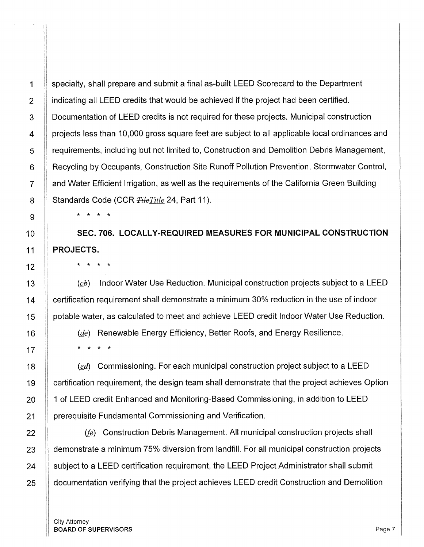specialty, shall prepare and submit a final as-built LEED Scorecard to the Department indicating all LEED credits that would be achieved if the project had been certified. Documentation of LEED credits is not required for these projects. Municipal construction projects less than 10,000 gross square feet are subject to all applicable local ordinances and requirements, including but not limited to, Construction and Demolition Debris Management, Recycling by Occupants, Construction Site Runoff Pollution Prevention, Stormwater Control, and Water Efficient Irrigation, as well as the requirements of the California Green Building Standards Code (CCR *±ikTitle* 24, Part 11). \* \* \* \*

SEC. 706. LOCALLY-REQUIRED MEASURES FOR MUNICIPAL CONSTRUCTION PROJECTS.

\* \* \* \*

 $(ch)$  Indoor Water Use Reduction. Municipal construction projects subject to a LEED 14 **Franch in Exertification requirement shall demonstrate a minimum 30% reduction in the use of indoor** 15 | potable water, as calculated to meet and achieve LEED credit Indoor Water Use Reduction.

16  $\parallel$  (*de*) Renewable Energy Efficiency, Better Roofs, and Energy Resilience. 17  $\| \cdot \|$  \* \* \* \*

18 **18 (ed)** Commissioning. For each municipal construction project subject to a LEED 19 certification requirement, the design team shall demonstrate that the project achieves Option 20 1 of LEED credit Enhanced and Monitoring-Based Commissioning, in addition to LEED 21 | prerequisite Fundamental Commissioning and Verification.

22 *(fe)* Construction Debris Management. All municipal construction projects shall 23 | demonstrate a minimum 75% diversion from landfill. For all municipal construction projects 24 Subject to a LEED certification requirement, the LEED Project Administrator shall submit 25 **documentation verifying that the project achieves LEED credit Construction and Demolition** 

1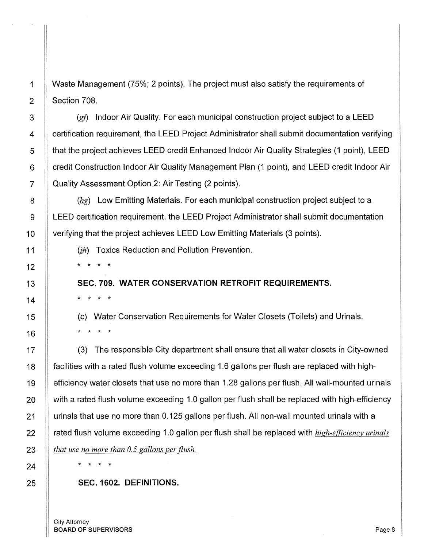1 Waste Management (75%; 2 points). The project must also satisfy the requirements of 2 Section 708.

 ||  $(gf)$  Indoor Air Quality. For each municipal construction project subject to a LEED **Exercification requirement, the LEED Project Administrator shall submit documentation verifying that the project achieves LEED credit Enhanced Indoor Air Quality Strategies (1 point), LEED 6 Credit Construction Indoor Air Quality Management Plan (1 point), and LEED credit Indoor Air** 7 | Quality Assessment Option 2: Air Testing (2 points).

8 ( $\parallel$  (hg) Low Emitting Materials. For each municipal construction project subject to a 9 LEED certification requirement, the LEED Project Administrator shall submit documentation 10 | verifying that the project achieves LEED Low Emitting Materials (3 points).

11  $\|$  (ik) Toxics Reduction and Pollution Prevention.

\* \* \* \*

\* \* \* \*

SEC. 709. WATER CONSERVATION RETROFIT REQUIREMENTS.

(c) Water Conservation Requirements for Water Closets (Toilets) and Urinals. \* \* \* \*

(3) The responsible City department shall ensure that all water closets in City-owned facilities with a rated flush volume exceeding 1.6 gallons per flush are replaced with highefficiency water closets that use no more than 1.28 gallons per flush. All wall-mounted urinals with a rated flush volume exceeding 1.0 gallon per flush shall be replaced with high-efficiency urinals that use no more than 0.125 gallons per flush. All non-wall mounted urinals with a rated flush volume exceeding 1.0 gallon per flush shall be replaced with *high-efficiency urinals that use no more than 0. 5 gallons per flush.* 

\* \* \* \*

### SEC. 1602. DEFINITIONS.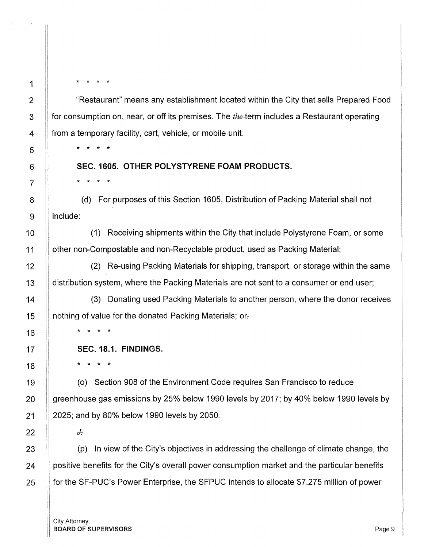\* \* \* \*

\* \* \* \*

\* \* \* \*

"Restaurant" means any establishment located within the City that sells Prepared Food for consumption on, near, or off its premises. The the-term includes a Restaurant operating from a temporary facility, cart, vehicle, or mobile unit.

## **SEC. 1605. OTHER POLYSTYRENE FOAM PRODUCTS.**

(d) For purposes of this Section 1605, Distribution of Packing Material shall not include:

**(1)** Receiving shipments within the City that include Polystyrene Foam, or some other non-Compostable and non-Recyclable product, used as Packing Material;

(2) Re-using Packing Materials for shipping, transport, or storage within the same distribution system, where the Packing Materials are not sent to a consumer or end user;

(3) Donating used Packing Materials to another person, where the donor receives nothing of value for the donated Packing Materials; or-

\* \* \* \*

**SEC. 18.1. FINDINGS.** 

\* \* \* \*

(o) Section 908 of the Environment Code requires San Francisco to reduce greenhouse gas emissions by 25% below 1990 levels by 2017; by 40% below 1990 levels by 2025; and by 80% below 1990 levels by 2050.

*J.:.* 

(p) In view of the City's objectives in addressing the challenge of climate change, the positive benefits for the City's overall power consumption market and the particular benefits for the SF-PUC's Power Enterprise, the SFPUC intends to allocate \$7.275 million of power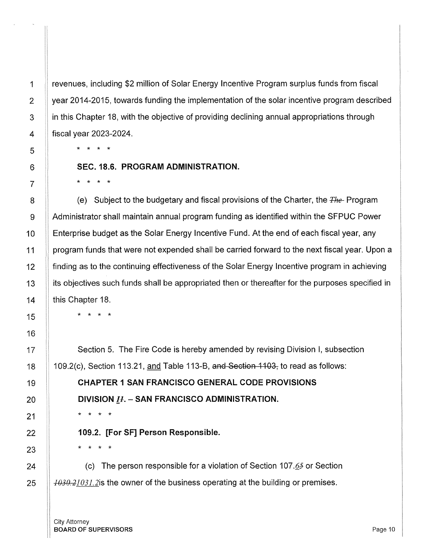revenues, including \$2 million of Solar Energy Incentive Program surplus funds from fiscal year 2014-2015, towards funding the implementation of the solar incentive program described in this Chapter 18, with the objective of providing declining annual appropriations through fiscal year 2023-2024.

\* \* \* \*

#### **SEC. 18.6. PROGRAM ADMINISTRATION.**

\* \* \* \*

(e) Subject to the budgetary and fiscal provisions of the Charter, the *±he-* Program Administrator shall maintain annual program funding as identified within the SFPUC Power Enterprise budget as the Solar Energy Incentive Fund. At the end of each fiscal year, any program funds that were not expended shall be carried forward to the next fiscal year. Upon a finding as to the continuing effectiveness of the Solar Energy Incentive program in achieving its objectives such funds shall be appropriated then or thereafter for the purposes specified in this Chapter 18.

\* \* \* \*

Section 5. The Fire Code is hereby amended by revising Division I, subsection 109.2(c), Section 113.21, and Table 113-B, and Section 1103, to read as follows:

**CHAPTER 1 SAN FRANCISCO GENERAL CODE PROVISIONS DIVISION** *[.J.* - **SAN FRANCISCO ADMINISTRATION.** 

**109.2. [For SF] Person Responsible.** 

\* \* \* \*

\* \* \* \*

(c) The person responsible for a violation of Section 107. $65$  or Section *1030.21031.2is* the owner of the business operating at the building or premises.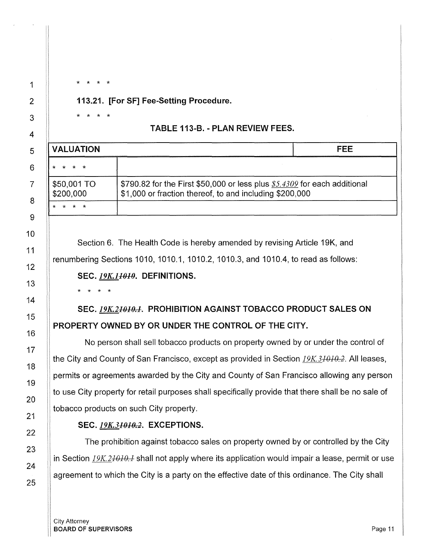113.21. [For SF] Fee-Setting Procedure.

## TABLE 113-B. - PLAN REVIEW FEES.

| <b>VALUATION</b>         |                                                                                                                                       | FFF |
|--------------------------|---------------------------------------------------------------------------------------------------------------------------------------|-----|
|                          |                                                                                                                                       |     |
| \$50,001 TO<br>\$200,000 | \$790.82 for the First \$50,000 or less plus $$5.4309$ for each additional<br>\$1,000 or fraction thereof, to and including \$200,000 |     |
|                          |                                                                                                                                       |     |

Section 6. The Health Code is hereby amended by revising Article 19K, and renumbering Sections 1010, 1010.1, 1010.2, 1010.3, and 1010.4, to read as follows: SEC. *19K.1<del>1010</del>*. DEFINITIONS.

\* \* \* \*

\* \* \* \*

\* \* \* \*

SEC. 19K.2<del>1010.1</del>. PROHIBITION AGAINST TOBACCO PRODUCT SALES ON PROPERTY OWNED BY OR UNDER THE CONTROL OF THE CITY.

No person shall sell tobacco products on property owned by or under the control of the City and County of San Francisco, except as provided in Section *19K.31010.2.* All leases, permits or agreements awarded by the City and County of San Francisco allowing any person to use City property for retail purposes shall specifically provide that there shall be no sale of tobacco products on such City property.

## SEC. *19K.31010.2.* EXCEPTIONS.

The prohibition against tobacco sales on property owned by or controlled by the City in Section *19K.21010.1* shall not apply where its application would impair a lease, permit or use agreement to which the City is a party on the effective date of this ordinance. The City shall

City Attorney BOARD OF SUPERVISORS And the state of the state of the state of the state of the state of the state of the state of the state of the state of the state of the state of the state of the state of the state of the state of th

1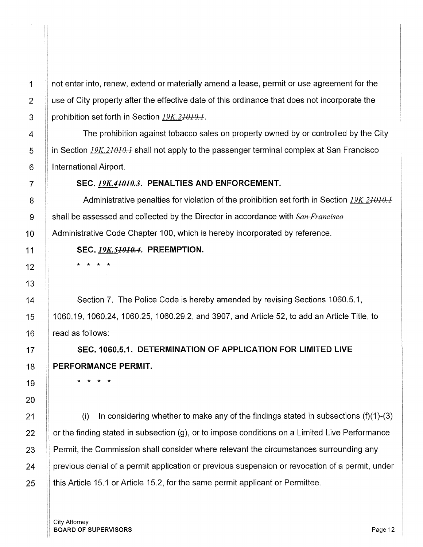not enter into, renew, extend or materially amend a lease, permit or use agreement for the use of City property after the effective date of this ordinance that does not incorporate the prohibition set forth in Section *19K.21010.l.* 

The prohibition against tobacco sales on property owned by or controlled by the City in Section *19K.21010.l* shall not apply to the passenger terminal complex at San Francisco International Airport.

## **SEC.** *19K.41010.3.* **PENAL TIES AND ENFORCEMENT.**

Administrative penalties for violation of the prohibition set forth in Section *19K.21010.1*  shall be assessed and collected by the Director in accordance with *San Francisco*  Administrative Code Chapter 100, which is hereby incorporated by reference.

## **SEC.** *19K.51010.4.* **PREEMPTION.**

\* \* \* \*

1

2

3

4

5

6

7

8

9

10

11

12

13

14

15

16

17

18

19

20

21

Section 7. The Police Code is hereby amended by revising Sections 1060.5.1, 1060.19, 1060.24, 1060.25, 1060.29.2, and 3907, and Article 52, to add an Article Title, to read as follows:

**SEC. 1060.5.1. DETERMINATION OF APPLICATION FOR LIMITED LIVE PERFORMANCE PERMIT.** 

\* \* \* \*

(i) In considering whether to make any of the findings stated in subsections  $(f)(1)-(3)$  $22$  || or the finding stated in subsection (g), or to impose conditions on a Limited Live Performance 23 Permit, the Commission shall consider where relevant the circumstances surrounding any 24 | previous denial of a permit application or previous suspension or revocation of a permit, under  $25$  || this Article 15.1 or Article 15.2, for the same permit applicant or Permittee.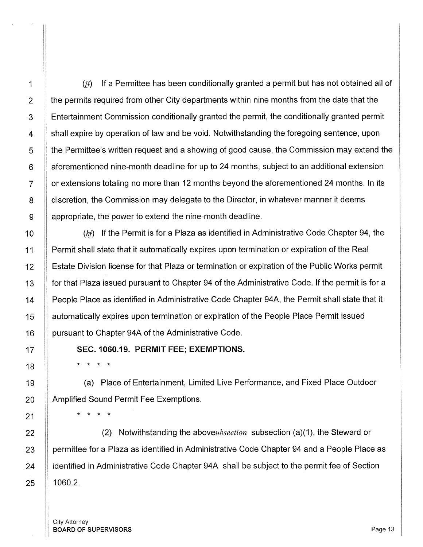$(i)$  If a Permittee has been conditionally granted a permit but has not obtained all of the permits required from other City departments within nine months from the date that the Entertainment Commission conditionally granted the permit, the conditionally granted permit shall expire by operation of law and be void. Notwithstanding the foregoing sentence, upon the Permittee's written request and a showing of good cause, the Commission may extend the aforementioned nine-month deadline for up to 24 months, subject to an additional extension or extensions totaling no more than 12 months beyond the aforementioned 24 months. In its discretion, the Commission may delegate to the Director, in whatever manner it deems appropriate, the power to extend the nine-month deadline.

 $(k<sub>i</sub>)$  If the Permit is for a Plaza as identified in Administrative Code Chapter 94, the Permit shall state that it automatically expires upon termination or expiration of the Real Estate Division license for that Plaza or termination or expiration of the Public Works permit for that Plaza issued pursuant to Chapter 94 of the Administrative Code. If the permit is for a People Place as identified in Administrative Code Chapter 94A, the Permit shall state that it automatically expires upon termination or expiration of the People Place Permit issued pursuant to Chapter 94A of the Administrative Code.

SEC. 1060.19. PERMIT FEE; EXEMPTIONS.

\* \* \* \*

\* \* \* \*

(a) Place of Entertainment, Limited Live Performance, and Fixed Place Outdoor Amplified Sound Permit Fee Exemptions.

22 **(2)** Notwithstanding the aboveubsection subsection (a)(1), the Steward or 23 | permittee for a Plaza as identified in Administrative Code Chapter 94 and a People Place as 24 | identified in Administrative Code Chapter 94A shall be subject to the permit fee of Section  $25$  || 1060.2.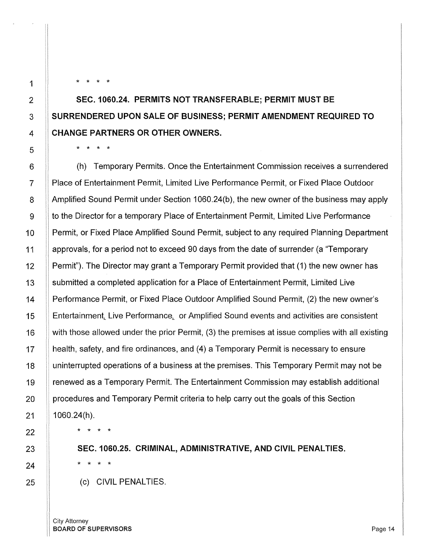\* \* \* \*

## SEC. 1060.24. PERMITS NOT TRANSFERABLE; PERMIT MUST BE SURRENDERED UPON SALE OF BUSINESS; PERMIT AMENDMENT REQUIRED TO CHANGE PARTNERS OR OTHER OWNERS.

\* \* \* \*

(h) Temporary Permits. Once the Entertainment Commission receives a surrendered Place of Entertainment Permit, Limited Live Performance Permit, or Fixed Place Outdoor Amplified Sound Permit under Section 1060.24(b), the new owner of the business may apply to the Director for a temporary Place of Entertainment Permit, Limited Live Performance Permit, or Fixed Place Amplified Sound Permit, subject to any required Planning Department approvals, for a period not to exceed 90 days from the date of surrender (a "Temporary Permit"). The Director may grant a Temporary Permit provided that (1) the new owner has submitted a completed application for a Place of Entertainment Permit, Limited Live Performance Permit, or Fixed Place Outdoor Amplified Sound Permit, (2) the new owner's Entertainment, Live Performance, or Amplified Sound events and activities are consistent with those allowed under the prior Permit, (3) the premises at issue complies with all existing health, safety, and fire ordinances, and (4) a Temporary Permit is necessary to ensure uninterrupted operations of a business at the premises. This Temporary Permit may not be renewed as a Temporary Permit. The Entertainment Commission may establish additional procedures and Temporary Permit criteria to help carry out the goals of this Section 1060.24(h).

\* \* \* \*

\* \* \* \*

SEC.1060.25. CRIMINAL, ADMINISTRATIVE, AND CIVIL PENALTIES.

(c) CIVIL PENALTIES.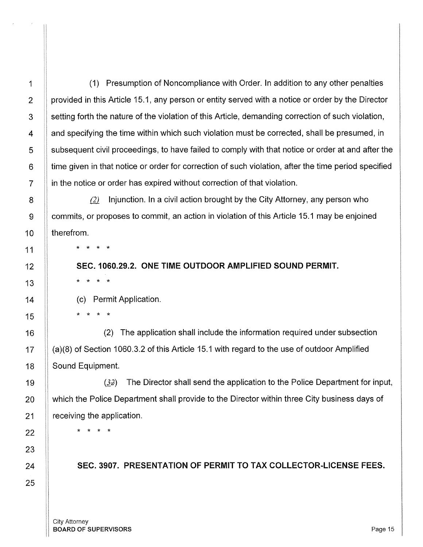1 | (1) Presumption of Noncompliance with Order. In addition to any other penalties 2  $\parallel$  provided in this Article 15.1, any person or entity served with a notice or order by the Director 3 Setting forth the nature of the violation of this Article, demanding correction of such violation,  $4 \parallel$  and specifying the time within which such violation must be corrected, shall be presumed, in 5 Subsequent civil proceedings, to have failed to comply with that notice or order at and after the  $6$   $\parallel$  time given in that notice or order for correction of such violation, after the time period specified  $7$  | in the notice or order has expired without correction of that violation.

8 **Quart Come 1** (2) Injunction. In a civil action brought by the City Attorney, any person who 9 commits, or proposes to commit, an action in violation of this Article 15.1 may be enjoined

\* \* \* \*

\* \* \* \*

**SEC. 1060.29.2. ONE TIME OUTDOOR AMPLIFIED SOUND PERMIT.** 

(c) Permit Application.

\* \* \* \*

16 | (2) The application shall include the information required under subsection 17 | (a)(8) of Section 1060.3.2 of this Article 15.1 with regard to the use of outdoor Amplified 18 | Sound Equipment.

 $(32)$  The Director shall send the application to the Police Department for input, which the Police Department shall provide to the Director within three City business days of receiving the application.

\* \* \* \*

**SEC. 3907. PRESENTATION OF PERMIT TO TAX COLLECTOR-LICENSE FEES.**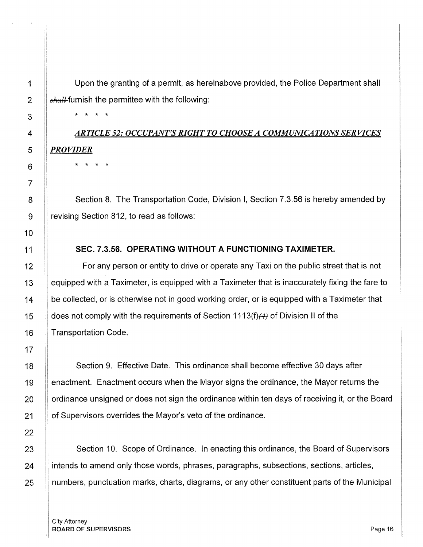Upon the granting of a permit, as hereinabove provided, the Police Department shall  $shall$ -furnish the permittee with the following:

\* \* \* \*

# *ARTICLE 52: OCCUPANT'S RIGHT TO CHOOSE A COMMUNICATIONS SERVICES PROVIDER*

\* \* \* \*

8 **Section 8. The Transportation Code, Division I, Section 7.3.56 is hereby amended by** 9 | revising Section 812, to read as follows:

## 11 **SEC. 7 .3.56. OPERATING WITHOUT A FUNCTIONING TAXIMETER.**

12 **For any person or entity to drive or operate any Taxi on the public street that is not** 13 | equipped with a Taximeter, is equipped with a Taximeter that is inaccurately fixing the fare to 14 be collected, or is otherwise not in good working order, or is equipped with a Taximeter that 15  $\parallel$  does not comply with the requirements of Section 1113(f)(4) of Division II of the 16 || Transportation Code.

18 Section 9. Effective Date. This ordinance shall become effective 30 days after 19 **Example 19** enactment occurs when the Mayor signs the ordinance, the Mayor returns the 20 | ordinance unsigned or does not sign the ordinance within ten days of receiving it, or the Board 21 | of Supervisors overrides the Mayor's veto of the ordinance.

23 Section 10. Scope of Ordinance. In enacting this ordinance, the Board of Supervisors 24 intends to amend only those words, phrases, paragraphs, subsections, sections, articles, 25 numbers, punctuation marks, charts, diagrams, or any other constituent parts of the Municipal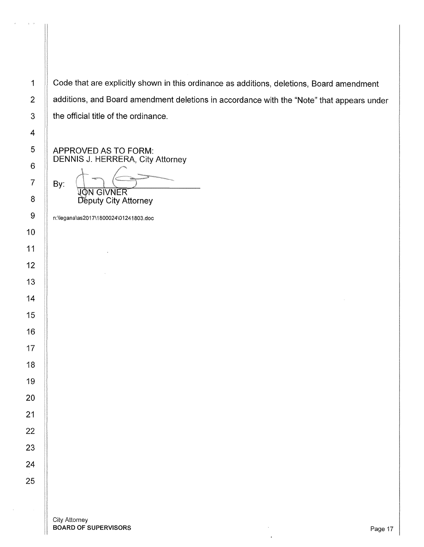1 Code that are explicitly shown in this ordinance as additions, deletions, Board amendment 2 | additions, and Board amendment deletions in accordance with the "Note" that appears under | the official title of the ordinance.

APPROVED AS TO FORM: DENNIS J. HERRERA, City Attorney

 $Ray:~$   $\begin{picture}(10,10) \put(0,0){\line(1,0){10}} \put(10,0){\line(1,0){10}} \put(10,0){\line(1,0){10}} \put(10,0){\line(1,0){10}} \put(10,0){\line(1,0){10}} \put(10,0){\line(1,0){10}} \put(10,0){\line(1,0){10}} \put(10,0){\line(1,0){10}} \put(10,0){\line(1,0){10}} \put(10,0){\line(1,0){10}} \put(10,0){\line(1,0){10}} \put(10$ **JON GIVNER** 

Deputy City Attorney

n:\legana\as2017\1800024\01241803.doc